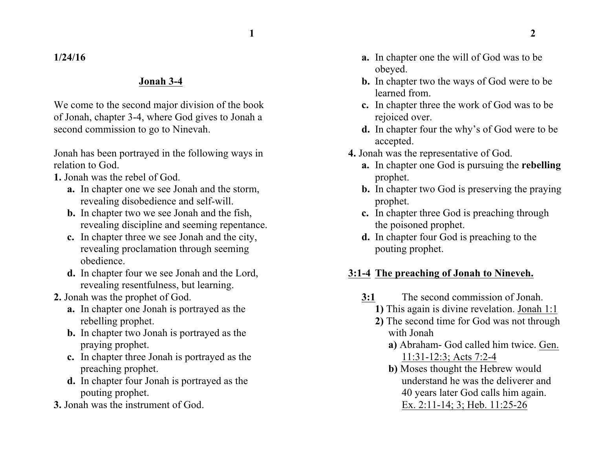**1/24/16**

## **Jonah 3-4**

We come to the second major division of the book of Jonah, chapter 3-4, where God gives to Jonah a second commission to go to Ninevah.

Jonah has been portrayed in the following ways in relation to God.

- **1.** Jonah was the rebel of God.
	- **a.** In chapter one we see Jonah and the storm, revealing disobedience and self-will.
	- **b.** In chapter two we see Jonah and the fish, revealing discipline and seeming repentance.
	- **c.** In chapter three we see Jonah and the city, revealing proclamation through seeming obedience.
	- **d.** In chapter four we see Jonah and the Lord, revealing resentfulness, but learning.
- **2.** Jonah was the prophet of God.
	- **a.** In chapter one Jonah is portrayed as the rebelling prophet.
	- **b.** In chapter two Jonah is portrayed as the praying prophet.
	- **c.** In chapter three Jonah is portrayed as the preaching prophet.
	- **d.** In chapter four Jonah is portrayed as the pouting prophet.
- **3.** Jonah was the instrument of God.
- **a.** In chapter one the will of God was to be obeyed.
- **b.** In chapter two the ways of God were to be learned from.
- **c.** In chapter three the work of God was to be rejoiced over.
- **d.** In chapter four the why's of God were to be accepted.
- **4.** Jonah was the representative of God.
	- **a.** In chapter one God is pursuing the **rebelling** prophet.
	- **b.** In chapter two God is preserving the praying prophet.
	- **c.** In chapter three God is preaching through the poisoned prophet.
	- **d.** In chapter four God is preaching to the pouting prophet.

## **3:1-4 The preaching of Jonah to Nineveh.**

- **3:1** The second commission of Jonah.
	- **1)** This again is divine revelation. Jonah 1:1
	- **2)** The second time for God was not through with Jonah
		- **a)** Abraham- God called him twice. Gen. 11:31-12:3; Acts 7:2-4
		- **b)** Moses thought the Hebrew would understand he was the deliverer and 40 years later God calls him again. Ex. 2:11-14; 3; Heb. 11:25-26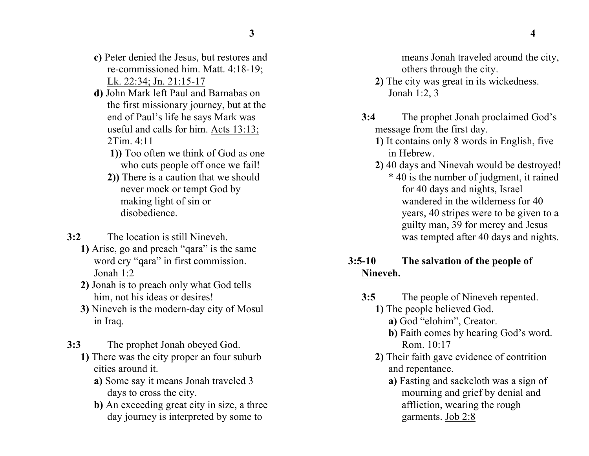- **c)** Peter denied the Jesus, but restores and re-commissioned him. Matt. 4:18-19; Lk. 22:34; Jn. 21:15-17
- **d)** John Mark left Paul and Barnabas on the first missionary journey, but at the end of Paul's life he says Mark was useful and calls for him. Acts 13:13; 2Tim. 4:11
	- **1))** Too often we think of God as one who cuts people off once we fail!
	- **2))** There is a caution that we should never mock or tempt God by making light of sin or disobedience.
- **3:2** The location is still Nineveh.
	- **1)** Arise, go and preach "qara" is the same word cry "qara" in first commission. Jonah 1:2
	- **2)** Jonah is to preach only what God tells him, not his ideas or desires!
	- **3)** Nineveh is the modern-day city of Mosul in Iraq.
- **3:3** The prophet Jonah obeyed God.
	- **1)** There was the city proper an four suburb cities around it.
		- **a)** Some say it means Jonah traveled 3 days to cross the city.
		- **b)** An exceeding great city in size, a three day journey is interpreted by some to

means Jonah traveled around the city, others through the city.

- **2)** The city was great in its wickedness. Jonah 1:2, 3
- **3:4** The prophet Jonah proclaimed God's message from the first day.
	- **1)** It contains only 8 words in English, five in Hebrew.
	- **2)** 40 days and Ninevah would be destroyed! \* 40 is the number of judgment, it rained for 40 days and nights, Israel wandered in the wilderness for 40 years, 40 stripes were to be given to a guilty man, 39 for mercy and Jesus was tempted after 40 days and nights.
- **3:5-10 The salvation of the people of Nineveh.**
	- **3:5** The people of Nineveh repented.
		- **1)** The people believed God.
			- **a)** God "elohim", Creator.
			- **b)** Faith comes by hearing God's word. Rom. 10:17
		- **2)** Their faith gave evidence of contrition and repentance.
			- **a)** Fasting and sackcloth was a sign of mourning and grief by denial and affliction, wearing the rough garments. Job 2:8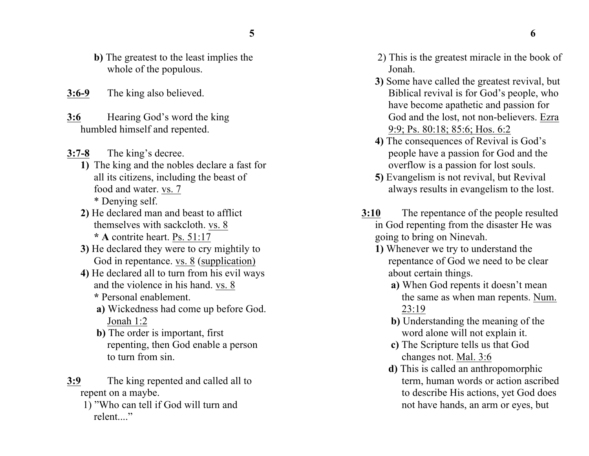- 
- **b)** The greatest to the least implies the whole of the populous.
- **3:6-9** The king also believed.
- **3:6** Hearing God's word the king humbled himself and repented.
- **3:7-8** The king's decree.
	- **1)** The king and the nobles declare a fast for all its citizens, including the beast of food and water. vs. 7 \* Denying self.
	- **2)** He declared man and beast to afflict themselves with sackcloth. vs. 8 **\* A** contrite heart. Ps. 51:17
	- **3)** He declared they were to cry mightily to God in repentance. vs. 8 (supplication)
	- **4)** He declared all to turn from his evil ways and the violence in his hand. vs. 8
		- **\*** Personal enablement.
		- **a)** Wickedness had come up before God. Jonah 1:2
		- **b)** The order is important, first repenting, then God enable a person to turn from sin.
- **3:9** The king repented and called all to repent on a maybe.
	- 1) "Who can tell if God will turn and relent."
- 2) This is the greatest miracle in the book of Jonah.
- **3)** Some have called the greatest revival, but Biblical revival is for God's people, who have become apathetic and passion for God and the lost, not non-believers. Ezra 9:9; Ps. 80:18; 85:6; Hos. 6:2
- **4)** The consequences of Revival is God's people have a passion for God and the overflow is a passion for lost souls.
- **5)** Evangelism is not revival, but Revival always results in evangelism to the lost.
- **3:10** The repentance of the people resulted in God repenting from the disaster He was going to bring on Ninevah.
	- **1)** Whenever we try to understand the repentance of God we need to be clear about certain things.
		- **a)** When God repents it doesn't mean the same as when man repents. Num. 23:19
		- **b)** Understanding the meaning of the word alone will not explain it.
		- **c)** The Scripture tells us that God changes not. Mal. 3:6
		- **d)** This is called an anthropomorphic term, human words or action ascribed to describe His actions, yet God does not have hands, an arm or eyes, but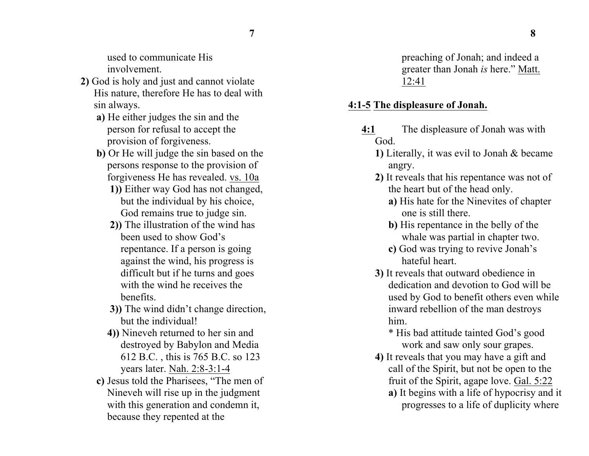used to communicate His involvement.

- **2)** God is holy and just and cannot violate His nature, therefore He has to deal with sin always.
	- **a)** He either judges the sin and the person for refusal to accept the provision of forgiveness.
	- **b)** Or He will judge the sin based on the persons response to the provision of forgiveness He has revealed. vs. 10a
		- **1))** Either way God has not changed, but the individual by his choice, God remains true to judge sin.
		- **2))** The illustration of the wind has been used to show God's repentance. If a person is going against the wind, his progress is difficult but if he turns and goes with the wind he receives the benefits.
		- **3))** The wind didn't change direction, but the individual!
		- **4))** Nineveh returned to her sin and destroyed by Babylon and Media 612 B.C. , this is 765 B.C. so 123 years later. Nah. 2:8-3:1-4
	- **c)** Jesus told the Pharisees, "The men of Nineveh will rise up in the judgment with this generation and condemn it, because they repented at the

preaching of Jonah; and indeed a greater than Jonah *is* here." Matt. 12:41

## **4:1-5 The displeasure of Jonah.**

- **4:1** The displeasure of Jonah was with God.
	- **1)** Literally, it was evil to Jonah & became angry.
	- **2)** It reveals that his repentance was not of the heart but of the head only.
		- **a)** His hate for the Ninevites of chapter one is still there.
		- **b)** His repentance in the belly of the whale was partial in chapter two.
		- **c)** God was trying to revive Jonah's hateful heart.
	- **3)** It reveals that outward obedience in dedication and devotion to God will be used by God to benefit others even while inward rebellion of the man destroys him.

\* His bad attitude tainted God's good work and saw only sour grapes.

- **4)** It reveals that you may have a gift and call of the Spirit, but not be open to the fruit of the Spirit, agape love. Gal. 5:22
	- **a)** It begins with a life of hypocrisy and it progresses to a life of duplicity where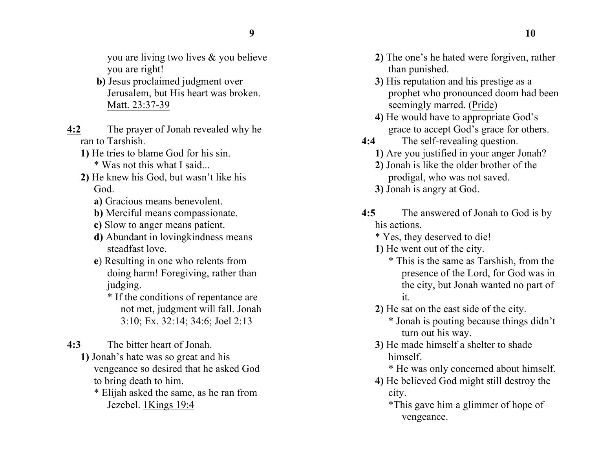you are living two lives & you believe you are right!

- **b)** Jesus proclaimed judgment over Jerusalem, but His heart was broken. Matt. 23:37-39
- **4:2** The prayer of Jonah revealed why he ran to Tarshish.
	- **1)** He tries to blame God for his sin. \* Was not this what I said...
	- **2)** He knew his God, but wasn't like his God.
		- **a)** Gracious means benevolent.
		- **b)** Merciful means compassionate.
		- **c)** Slow to anger means patient.
		- **d)** Abundant in lovingkindness means steadfast love.
		- **e**) Resulting in one who relents from doing harm! Foregiving, rather than judging.
			- \* If the conditions of repentance are not met, judgment will fall. Jonah 3:10; Ex. 32:14; 34:6; Joel 2:13

**4:3** The bitter heart of Jonah.

**1)** Jonah's hate was so great and his vengeance so desired that he asked God to bring death to him.

\* Elijah asked the same, as he ran from Jezebel. 1Kings 19:4

- **2)** The one's he hated were forgiven, rather than punished.
- **3)** His reputation and his prestige as a prophet who pronounced doom had been seemingly marred. (Pride)
- **4)** He would have to appropriate God's grace to accept God's grace for others.
- **4:4** The self-revealing question. **1)** Are you justified in your anger Jonah?
	- **2)** Jonah is like the older brother of the prodigal, who was not saved.
	- **3)** Jonah is angry at God.
- **4:5** The answered of Jonah to God is by his actions.
	- \* Yes, they deserved to die!
	- **1)** He went out of the city.
		- \* This is the same as Tarshish, from the presence of the Lord, for God was in the city, but Jonah wanted no part of it.
	- **2)** He sat on the east side of the city.
		- \* Jonah is pouting because things didn't turn out his way.
	- **3)** He made himself a shelter to shade himself.
		- \* He was only concerned about himself.
	- **4)** He believed God might still destroy the city.
		- \*This gave him a glimmer of hope of vengeance.